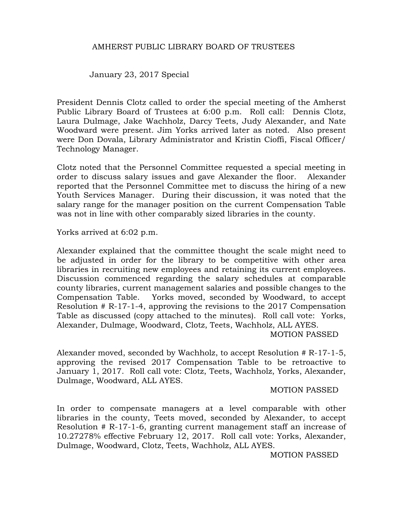## AMHERST PUBLIC LIBRARY BOARD OF TRUSTEES

January 23, 2017 Special

President Dennis Clotz called to order the special meeting of the Amherst Public Library Board of Trustees at 6:00 p.m. Roll call: Dennis Clotz, Laura Dulmage, Jake Wachholz, Darcy Teets, Judy Alexander, and Nate Woodward were present. Jim Yorks arrived later as noted. Also present were Don Dovala, Library Administrator and Kristin Cioffi, Fiscal Officer/ Technology Manager.

Clotz noted that the Personnel Committee requested a special meeting in order to discuss salary issues and gave Alexander the floor. Alexander reported that the Personnel Committee met to discuss the hiring of a new Youth Services Manager. During their discussion, it was noted that the salary range for the manager position on the current Compensation Table was not in line with other comparably sized libraries in the county.

Yorks arrived at 6:02 p.m.

Alexander explained that the committee thought the scale might need to be adjusted in order for the library to be competitive with other area libraries in recruiting new employees and retaining its current employees. Discussion commenced regarding the salary schedules at comparable county libraries, current management salaries and possible changes to the Compensation Table. Yorks moved, seconded by Woodward, to accept Resolution # R-17-1-4, approving the revisions to the 2017 Compensation Table as discussed (copy attached to the minutes). Roll call vote: Yorks, Alexander, Dulmage, Woodward, Clotz, Teets, Wachholz, ALL AYES.

MOTION PASSED

Alexander moved, seconded by Wachholz, to accept Resolution # R-17-1-5, approving the revised 2017 Compensation Table to be retroactive to January 1, 2017. Roll call vote: Clotz, Teets, Wachholz, Yorks, Alexander, Dulmage, Woodward, ALL AYES.

## MOTION PASSED

In order to compensate managers at a level comparable with other libraries in the county, Teets moved, seconded by Alexander, to accept Resolution # R-17-1-6, granting current management staff an increase of 10.27278% effective February 12, 2017. Roll call vote: Yorks, Alexander, Dulmage, Woodward, Clotz, Teets, Wachholz, ALL AYES.

MOTION PASSED